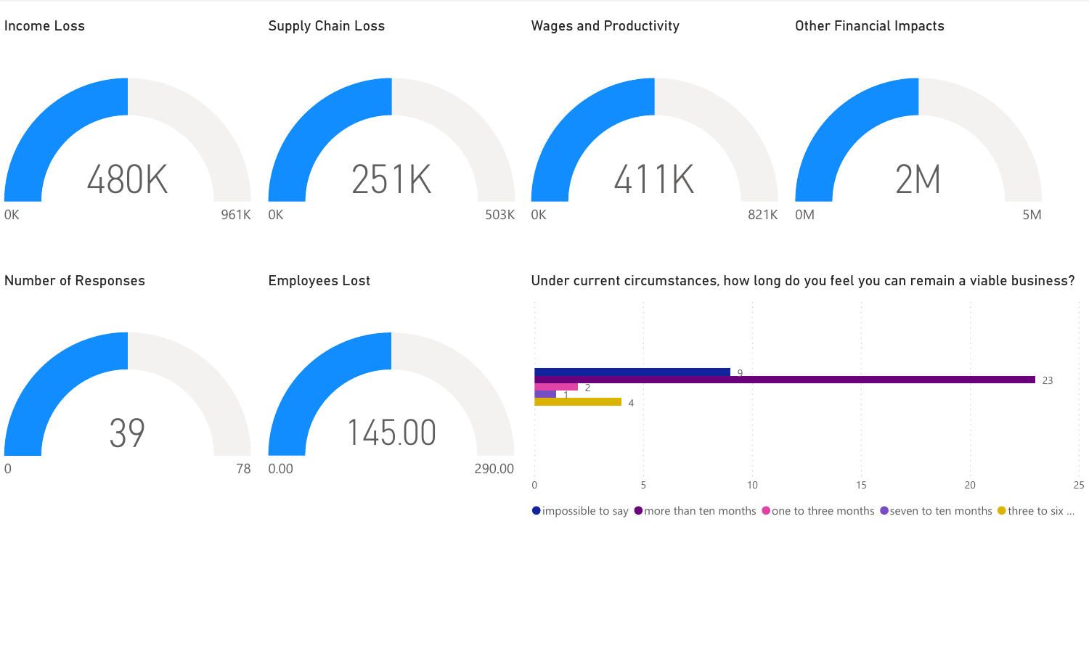

 $\bullet$  impossible to say  $\bullet$  more than ten months  $\bullet$  one to three months  $\bullet$  seven to ten months  $\bullet$  three to six ...